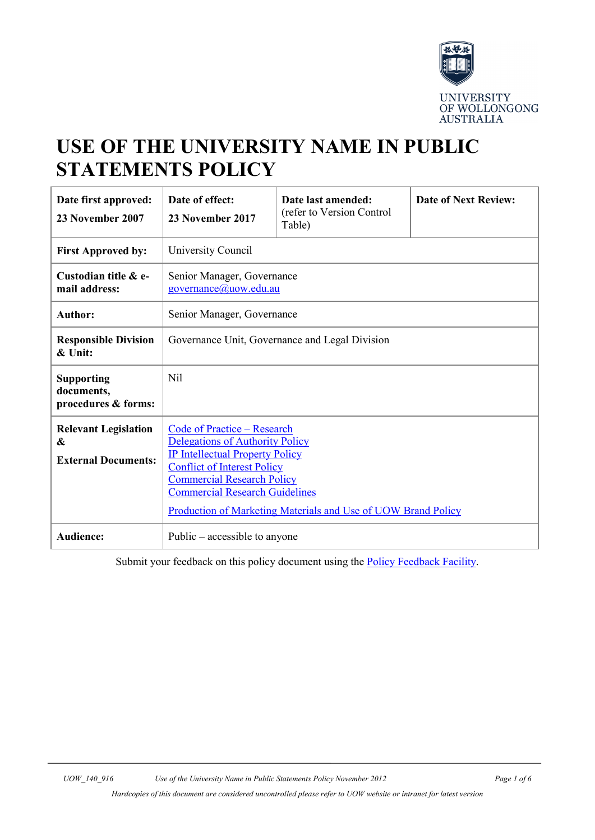

# **USE OF THE UNIVERSITY NAME IN PUBLIC STATEMENTS POLICY**

| Date first approved:<br>23 November 2007                       | Date of effect:<br>23 November 2017                                                                                                                                                                                                                                                                  | Date last amended:<br>(refer to Version Control<br>Table) | <b>Date of Next Review:</b> |  |  |
|----------------------------------------------------------------|------------------------------------------------------------------------------------------------------------------------------------------------------------------------------------------------------------------------------------------------------------------------------------------------------|-----------------------------------------------------------|-----------------------------|--|--|
| <b>First Approved by:</b>                                      | University Council                                                                                                                                                                                                                                                                                   |                                                           |                             |  |  |
| Custodian title & e-<br>mail address:                          | Senior Manager, Governance<br>governance@uow.edu.au                                                                                                                                                                                                                                                  |                                                           |                             |  |  |
| <b>Author:</b>                                                 | Senior Manager, Governance                                                                                                                                                                                                                                                                           |                                                           |                             |  |  |
| <b>Responsible Division</b><br>& Unit:                         | Governance Unit, Governance and Legal Division                                                                                                                                                                                                                                                       |                                                           |                             |  |  |
| <b>Supporting</b><br>documents,<br>procedures & forms:         | Nil                                                                                                                                                                                                                                                                                                  |                                                           |                             |  |  |
| <b>Relevant Legislation</b><br>&<br><b>External Documents:</b> | <b>Code of Practice - Research</b><br>Delegations of Authority Policy<br><b>IP Intellectual Property Policy</b><br><b>Conflict of Interest Policy</b><br><b>Commercial Research Policy</b><br><b>Commercial Research Guidelines</b><br>Production of Marketing Materials and Use of UOW Brand Policy |                                                           |                             |  |  |
| <b>Audience:</b>                                               | Public $-$ accessible to anyone                                                                                                                                                                                                                                                                      |                                                           |                             |  |  |

Submit your feedback on this policy document using the **Policy Feedback Facility**.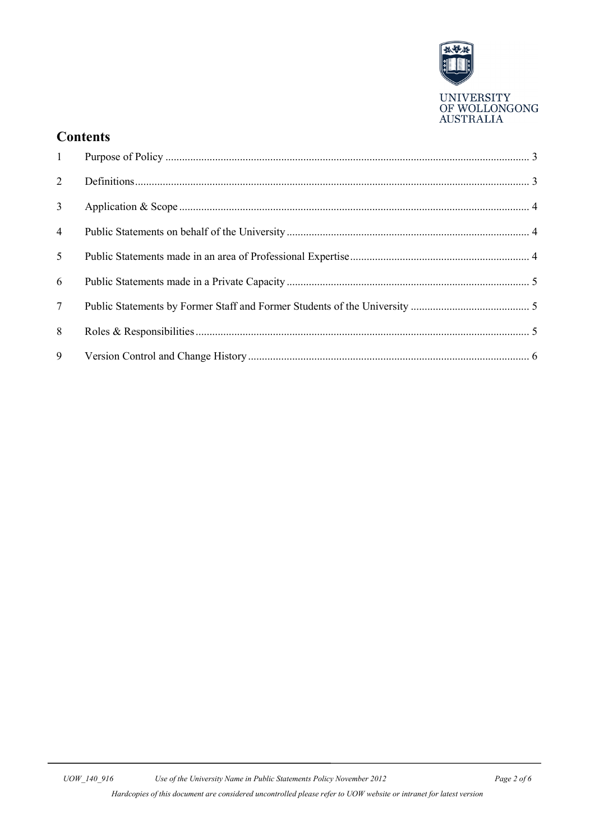

## **Contents**

| 2               |  |
|-----------------|--|
| $\mathfrak{Z}$  |  |
| $\overline{4}$  |  |
| 5 <sup>5</sup>  |  |
| 6               |  |
| $7\overline{ }$ |  |
| 8               |  |
| 9               |  |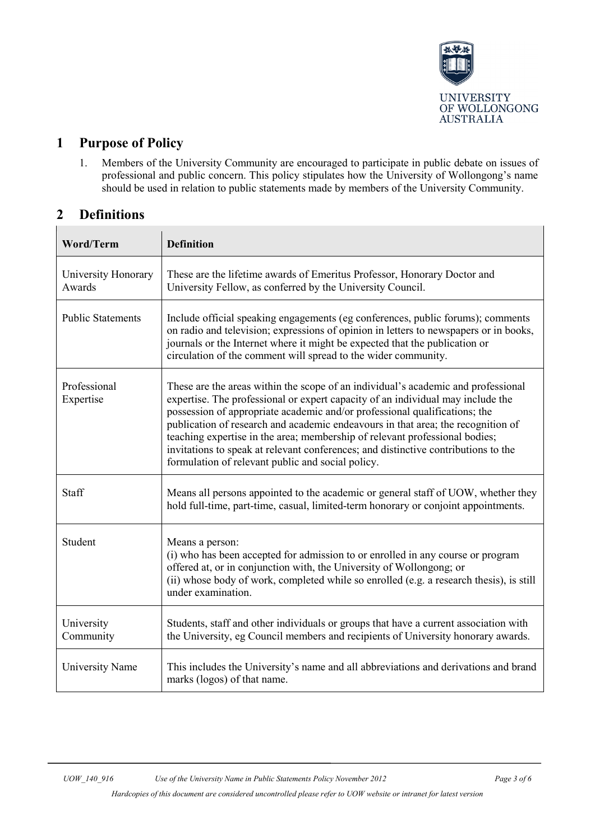

# <span id="page-2-0"></span>**1 Purpose of Policy**

1. Members of the University Community are encouraged to participate in public debate on issues of professional and public concern. This policy stipulates how the University of Wollongong's name should be used in relation to public statements made by members of the University Community.

# <span id="page-2-1"></span>**2 Definitions**

| <b>Word/Term</b>              | <b>Definition</b>                                                                                                                                                                                                                                                                                                                                                                                                                                                                                                                                                |  |
|-------------------------------|------------------------------------------------------------------------------------------------------------------------------------------------------------------------------------------------------------------------------------------------------------------------------------------------------------------------------------------------------------------------------------------------------------------------------------------------------------------------------------------------------------------------------------------------------------------|--|
| University Honorary<br>Awards | These are the lifetime awards of Emeritus Professor, Honorary Doctor and<br>University Fellow, as conferred by the University Council.                                                                                                                                                                                                                                                                                                                                                                                                                           |  |
| <b>Public Statements</b>      | Include official speaking engagements (eg conferences, public forums); comments<br>on radio and television; expressions of opinion in letters to newspapers or in books,<br>journals or the Internet where it might be expected that the publication or<br>circulation of the comment will spread to the wider community.                                                                                                                                                                                                                                        |  |
| Professional<br>Expertise     | These are the areas within the scope of an individual's academic and professional<br>expertise. The professional or expert capacity of an individual may include the<br>possession of appropriate academic and/or professional qualifications; the<br>publication of research and academic endeavours in that area; the recognition of<br>teaching expertise in the area; membership of relevant professional bodies;<br>invitations to speak at relevant conferences; and distinctive contributions to the<br>formulation of relevant public and social policy. |  |
| Staff                         | Means all persons appointed to the academic or general staff of UOW, whether they<br>hold full-time, part-time, casual, limited-term honorary or conjoint appointments.                                                                                                                                                                                                                                                                                                                                                                                          |  |
| Student                       | Means a person:<br>(i) who has been accepted for admission to or enrolled in any course or program<br>offered at, or in conjunction with, the University of Wollongong; or<br>(ii) whose body of work, completed while so enrolled (e.g. a research thesis), is still<br>under examination.                                                                                                                                                                                                                                                                      |  |
| University<br>Community       | Students, staff and other individuals or groups that have a current association with<br>the University, eg Council members and recipients of University honorary awards.                                                                                                                                                                                                                                                                                                                                                                                         |  |
| University Name               | This includes the University's name and all abbreviations and derivations and brand<br>marks (logos) of that name.                                                                                                                                                                                                                                                                                                                                                                                                                                               |  |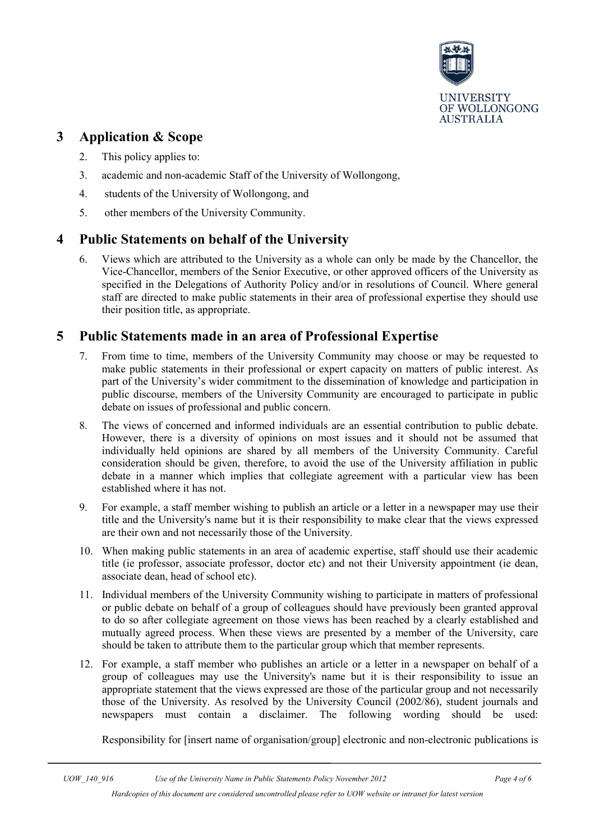

#### <span id="page-3-0"></span>**3 Application & Scope**

- 2. This policy applies to:
- 3. academic and non-academic Staff of the University of Wollongong,
- 4. students of the University of Wollongong, and
- 5. other members of the University Community.

#### <span id="page-3-1"></span>**4 Public Statements on behalf of the University**

6. Views which are attributed to the University as a whole can only be made by the Chancellor, the Vice-Chancellor, members of the Senior Executive, or other approved officers of the University as specified in the Delegations of Authority Policy and/or in resolutions of Council. Where general staff are directed to make public statements in their area of professional expertise they should use their position title, as appropriate.

#### <span id="page-3-2"></span>**5 Public Statements made in an area of Professional Expertise**

- 7. From time to time, members of the University Community may choose or may be requested to make public statements in their professional or expert capacity on matters of public interest. As part of the University's wider commitment to the dissemination of knowledge and participation in public discourse, members of the University Community are encouraged to participate in public debate on issues of professional and public concern.
- 8. The views of concerned and informed individuals are an essential contribution to public debate. However, there is a diversity of opinions on most issues and it should not be assumed that individually held opinions are shared by all members of the University Community. Careful consideration should be given, therefore, to avoid the use of the University affiliation in public debate in a manner which implies that collegiate agreement with a particular view has been established where it has not.
- 9. For example, a staff member wishing to publish an article or a letter in a newspaper may use their title and the University's name but it is their responsibility to make clear that the views expressed are their own and not necessarily those of the University.
- 10. When making public statements in an area of academic expertise, staff should use their academic title (ie professor, associate professor, doctor etc) and not their University appointment (ie dean, associate dean, head of school etc).
- 11. Individual members of the University Community wishing to participate in matters of professional or public debate on behalf of a group of colleagues should have previously been granted approval to do so after collegiate agreement on those views has been reached by a clearly established and mutually agreed process. When these views are presented by a member of the University, care should be taken to attribute them to the particular group which that member represents.
- 12. For example, a staff member who publishes an article or a letter in a newspaper on behalf of a group of colleagues may use the University's name but it is their responsibility to issue an appropriate statement that the views expressed are those of the particular group and not necessarily those of the University. As resolved by the University Council (2002/86), student journals and newspapers must contain a disclaimer. The following wording should be used:

Responsibility for [insert name of organisation/group] electronic and non-electronic publications is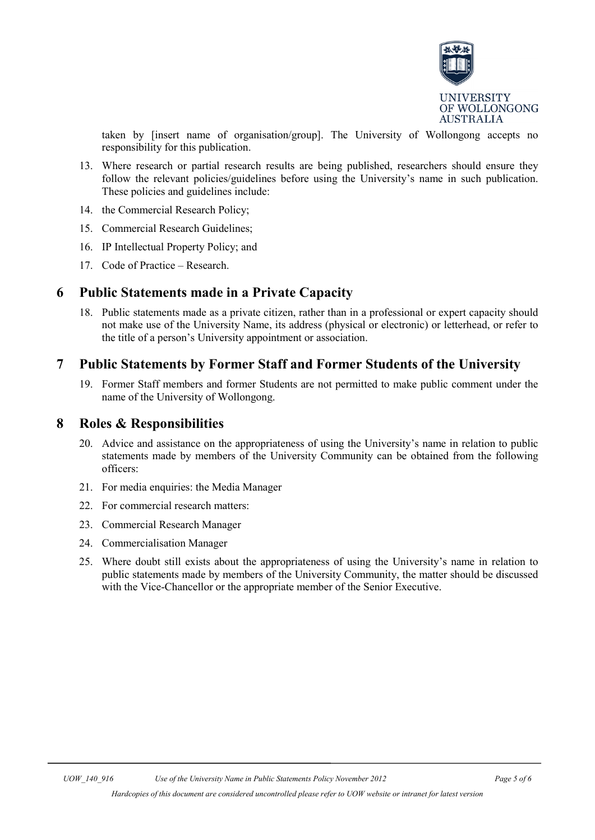

taken by [insert name of organisation/group]. The University of Wollongong accepts no responsibility for this publication.

- 13. Where research or partial research results are being published, researchers should ensure they follow the relevant policies/guidelines before using the University's name in such publication. These policies and guidelines include:
- 14. the Commercial Research Policy;
- 15. Commercial Research Guidelines;
- 16. IP Intellectual Property Policy; and
- 17. Code of Practice Research.

#### <span id="page-4-0"></span>**6 Public Statements made in a Private Capacity**

18. Public statements made as a private citizen, rather than in a professional or expert capacity should not make use of the University Name, its address (physical or electronic) or letterhead, or refer to the title of a person's University appointment or association.

#### <span id="page-4-1"></span>**7 Public Statements by Former Staff and Former Students of the University**

19. Former Staff members and former Students are not permitted to make public comment under the name of the University of Wollongong.

#### <span id="page-4-2"></span>**8 Roles & Responsibilities**

- 20. Advice and assistance on the appropriateness of using the University's name in relation to public statements made by members of the University Community can be obtained from the following officers:
- 21. For media enquiries: the Media Manager
- 22. For commercial research matters:
- 23. Commercial Research Manager
- 24. Commercialisation Manager
- 25. Where doubt still exists about the appropriateness of using the University's name in relation to public statements made by members of the University Community, the matter should be discussed with the Vice-Chancellor or the appropriate member of the Senior Executive.